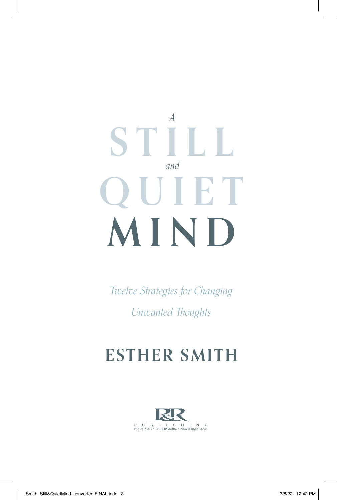# *A* **STILL** *and* **QUIET MIND**

*Twelve Strategies for Changing Unwanted Thoughts*

# **ESTHER SMITH**

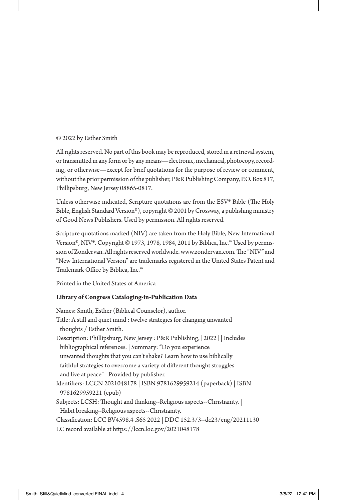#### © 2022 by Esther Smith

All rights reserved. No part of this book may be reproduced, stored in a retrieval system, or transmitted in any form or by any means—electronic, mechanical, photocopy, recording, or otherwise—except for brief quotations for the purpose of review or comment, without the prior permission of the publisher, P&R Publishing Company, P.O. Box 817, Phillipsburg, New Jersey 08865-0817.

Unless otherwise indicated, Scripture quotations are from the ESV® Bible (The Holy Bible, English Standard Version®), copyright © 2001 by Crossway, a publishing ministry of Good News Publishers. Used by permission. All rights reserved.

Scripture quotations marked (NIV) are taken from the Holy Bible, New International Version®, NIV®. Copyright © 1973, 1978, 1984, 2011 by Biblica, Inc.™ Used by permission of Zondervan. All rights reserved worldwide. www.zondervan.com. The "NIV" and "New International Version" are trademarks registered in the United States Patent and Trademark Office by Biblica, Inc.™

Printed in the United States of America

#### **Library of Congress Cataloging-in-Publication Data**

Names: Smith, Esther (Biblical Counselor), author. Title: A still and quiet mind : twelve strategies for changing unwanted thoughts / Esther Smith. Description: Phillipsburg, New Jersey : P&R Publishing, [2022] | Includes bibliographical references. | Summary: "Do you experience unwanted thoughts that you can't shake? Learn how to use biblically faithful strategies to overcome a variety of different thought struggles and live at peace"-- Provided by publisher. Identifiers: LCCN 2021048178 | ISBN 9781629959214 (paperback) | ISBN 9781629959221 (epub) Subjects: LCSH: Thought and thinking--Religious aspects--Christianity. | Habit breaking--Religious aspects--Christianity. Classification: LCC BV4598.4 .S65 2022 | DDC 152.3/3--dc23/eng/20211130 LC record available at https://lccn.loc.gov/2021048178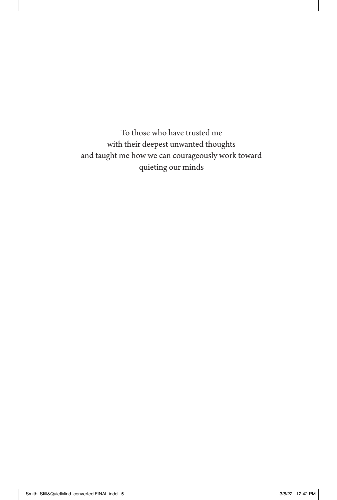To those who have trusted me with their deepest unwanted thoughts and taught me how we can courageously work toward quieting our minds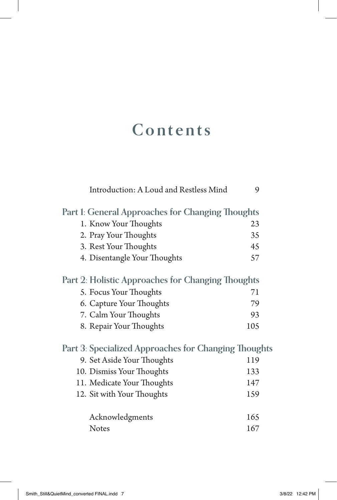# **Contents**

| Introduction: A Loud and Restless Mind               | 9   |
|------------------------------------------------------|-----|
| Part 1: General Approaches for Changing Thoughts     |     |
| 1. Know Your Thoughts                                | 23  |
| 2. Pray Your Thoughts                                | 35  |
| 3. Rest Your Thoughts                                | 45  |
| 4. Disentangle Your Thoughts                         | 57  |
| Part 2: Holistic Approaches for Changing Thoughts    |     |
| 5. Focus Your Thoughts                               | 71  |
| 6. Capture Your Thoughts                             | 79  |
| 7. Calm Your Thoughts                                | 93  |
| 8. Repair Your Thoughts                              | 105 |
| Part 3: Specialized Approaches for Changing Thoughts |     |
| 9. Set Aside Your Thoughts                           | 119 |
| 10. Dismiss Your Thoughts                            | 133 |
| 11. Medicate Your Thoughts                           | 147 |
| 12. Sit with Your Thoughts                           | 159 |
| Acknowledgments                                      | 165 |
| <b>Notes</b>                                         | 167 |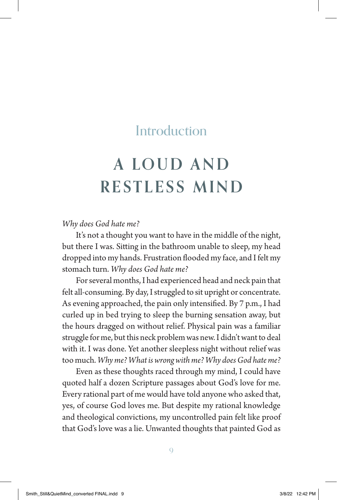# **A LO U D A N D RESTLESS MIND**

#### *Why does God hate me?*

It's not a thought you want to have in the middle of the night, but there I was. Sitting in the bathroom unable to sleep, my head dropped into my hands. Frustration flooded my face, and I felt my stomach turn. *Why does God hate me?*

For several months, I had experienced head and neck pain that felt all-consuming. By day, I struggled to sit upright or concentrate. As evening approached, the pain only intensified. By 7 p.m., I had curled up in bed trying to sleep the burning sensation away, but the hours dragged on without relief. Physical pain was a familiar struggle for me, but this neck problem was new. I didn't want to deal with it. I was done. Yet another sleepless night without relief was too much. *Why me? What is wrong with me? Why does God hate me?*

Even as these thoughts raced through my mind, I could have quoted half a dozen Scripture passages about God's love for me. Every rational part of me would have told anyone who asked that, yes, of course God loves me. But despite my rational knowledge and theological convictions, my uncontrolled pain felt like proof that God's love was a lie. Unwanted thoughts that painted God as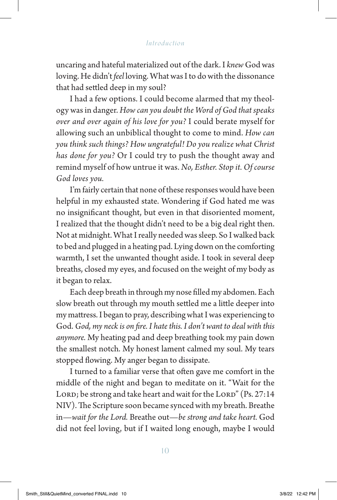uncaring and hateful materialized out of the dark. I *knew* God was loving. He didn't *feel* loving. What was I to do with the dissonance that had settled deep in my soul?

I had a few options. I could become alarmed that my theology was in danger. *How can you doubt the Word of God that speaks over and over again of his love for you?* I could berate myself for allowing such an unbiblical thought to come to mind. *How can you think such things? How ungrateful! Do you realize what Christ has done for you?* Or I could try to push the thought away and remind myself of how untrue it was. *No, Esther. Stop it. Of course God loves you.*

I'm fairly certain that none of these responses would have been helpful in my exhausted state. Wondering if God hated me was no insignificant thought, but even in that disoriented moment, I realized that the thought didn't need to be a big deal right then. Not at midnight. What I really needed was sleep. So I walked back to bed and plugged in a heating pad. Lying down on the comforting warmth, I set the unwanted thought aside. I took in several deep breaths, closed my eyes, and focused on the weight of my body as it began to relax.

Each deep breath in through my nose filled my abdomen. Each slow breath out through my mouth settled me a little deeper into my mattress. I began to pray, describing what I was experiencing to God. *God, my neck is on fire. I hate this. I don't want to deal with this anymore.* My heating pad and deep breathing took my pain down the smallest notch. My honest lament calmed my soul. My tears stopped flowing. My anger began to dissipate.

I turned to a familiar verse that often gave me comfort in the middle of the night and began to meditate on it. "Wait for the LORD; be strong and take heart and wait for the LORD" (Ps. 27:14 NIV). The Scripture soon became synced with my breath. Breathe in—*wait for the Lord.* Breathe out—*be strong and take heart.* God did not feel loving, but if I waited long enough, maybe I would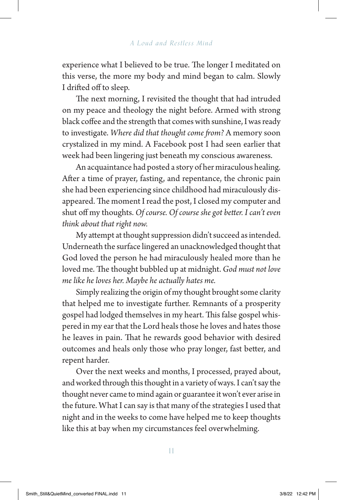experience what I believed to be true. The longer I meditated on this verse, the more my body and mind began to calm. Slowly I drifted off to sleep.

The next morning, I revisited the thought that had intruded on my peace and theology the night before. Armed with strong black coffee and the strength that comes with sunshine, I was ready to investigate. *Where did that thought come from?* A memory soon crystalized in my mind. A Facebook post I had seen earlier that week had been lingering just beneath my conscious awareness.

An acquaintance had posted a story of her miraculous healing. After a time of prayer, fasting, and repentance, the chronic pain she had been experiencing since childhood had miraculously disappeared. The moment I read the post, I closed my computer and shut off my thoughts. *Of course. Of course she got better. I can't even think about that right now.*

My attempt at thought suppression didn't succeed as intended. Underneath the surface lingered an unacknowledged thought that God loved the person he had miraculously healed more than he loved me. The thought bubbled up at midnight. *God must not love me like he loves her. Maybe he actually hates me.*

Simply realizing the origin of my thought brought some clarity that helped me to investigate further. Remnants of a prosperity gospel had lodged themselves in my heart. This false gospel whispered in my ear that the Lord heals those he loves and hates those he leaves in pain. That he rewards good behavior with desired outcomes and heals only those who pray longer, fast better, and repent harder.

Over the next weeks and months, I processed, prayed about, and worked through this thought in a variety of ways. I can't say the thought never came to mind again or guarantee it won't ever arise in the future. What I can say is that many of the strategies I used that night and in the weeks to come have helped me to keep thoughts like this at bay when my circumstances feel overwhelming.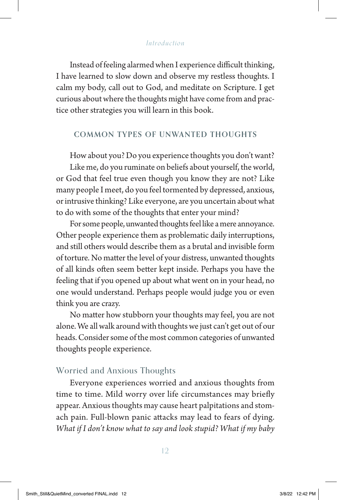Instead of feeling alarmed when I experience difficult thinking, I have learned to slow down and observe my restless thoughts. I calm my body, call out to God, and meditate on Scripture. I get curious about where the thoughts might have come from and practice other strategies you will learn in this book.

#### **COMMON TYPES OF UNWANTED THOUGHTS**

How about you? Do you experience thoughts you don't want? Like me, do you ruminate on beliefs about yourself, the world, or God that feel true even though you know they are not? Like many people I meet, do you feel tormented by depressed, anxious, or intrusive thinking? Like everyone, are you uncertain about what to do with some of the thoughts that enter your mind?

For some people, unwanted thoughts feel like a mere annoyance. Other people experience them as problematic daily interruptions, and still others would describe them as a brutal and invisible form of torture. No matter the level of your distress, unwanted thoughts of all kinds often seem better kept inside. Perhaps you have the feeling that if you opened up about what went on in your head, no one would understand. Perhaps people would judge you or even think you are crazy.

No matter how stubborn your thoughts may feel, you are not alone. We all walk around with thoughts we just can't get out of our heads. Consider some of the most common categories of unwanted thoughts people experience.

#### Worried and Anxious Thoughts

Everyone experiences worried and anxious thoughts from time to time. Mild worry over life circumstances may briefly appear. Anxious thoughts may cause heart palpitations and stomach pain. Full-blown panic attacks may lead to fears of dying. *What if I don't know what to say and look stupid? What if my baby*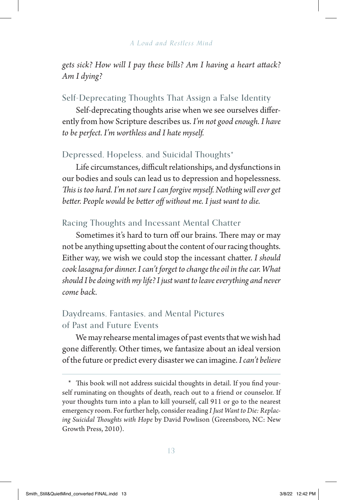*gets sick? How will I pay these bills? Am I having a heart attack? Am I dying?*

# Self-Deprecating Thoughts That Assign a False Identity

Self-deprecating thoughts arise when we see ourselves differently from how Scripture describes us. *I'm not good enough. I have to be perfect. I'm worthless and I hate myself.*

# Depressed, Hopeless, and Suicidal Thoughts\*

Life circumstances, difficult relationships, and dysfunctions in our bodies and souls can lead us to depression and hopelessness. *This is too hard. I'm not sure I can forgive myself. Nothing will ever get better. People would be better off without me. I just want to die.*

# Racing Thoughts and Incessant Mental Chatter

Sometimes it's hard to turn off our brains. There may or may not be anything upsetting about the content of our racing thoughts. Either way, we wish we could stop the incessant chatter. *I should cook lasagna for dinner. I can't forget to change the oil in the car. What should I be doing with my life? I just want to leave everything and never come back.*

# Daydreams, Fantasies, and Mental Pictures of Past and Future Events

We may rehearse mental images of past events that we wish had gone differently. Other times, we fantasize about an ideal version of the future or predict every disaster we can imagine. *I can't believe* 

<sup>\*</sup> This book will not address suicidal thoughts in detail. If you find yourself ruminating on thoughts of death, reach out to a friend or counselor. If your thoughts turn into a plan to kill yourself, call 911 or go to the nearest emergency room. For further help, consider reading *I Just Want to Die: Replacing Suicidal Thoughts with Hope* by David Powlison (Greensboro, NC: New Growth Press, 2010).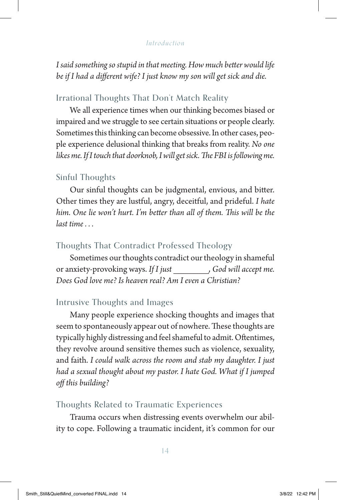*I said something so stupid in that meeting. How much better would life be if I had a different wife? I just know my son will get sick and die.*

## Irrational Thoughts That Don't Match Reality

We all experience times when our thinking becomes biased or impaired and we struggle to see certain situations or people clearly. Sometimes this thinking can become obsessive. In other cases, people experience delusional thinking that breaks from reality. *No one likes me. If I touch that doorknob, I will get sick. The FBI is following me.*

# Sinful Thoughts

Our sinful thoughts can be judgmental, envious, and bitter. Other times they are lustful, angry, deceitful, and prideful. *I hate him. One lie won't hurt. I'm better than all of them. This will be the last time . . .*

# Thoughts That Contradict Professed Theology

Sometimes our thoughts contradict our theology in shameful or anxiety-provoking ways. *If I just \_\_\_\_\_\_\_, God will accept me. Does God love me? Is heaven real? Am I even a Christian?*

# Intrusive Thoughts and Images

Many people experience shocking thoughts and images that seem to spontaneously appear out of nowhere. These thoughts are typically highly distressing and feel shameful to admit. Oftentimes, they revolve around sensitive themes such as violence, sexuality, and faith. *I could walk across the room and stab my daughter. I just had a sexual thought about my pastor. I hate God. What if I jumped off this building?*

## Thoughts Related to Traumatic Experiences

Trauma occurs when distressing events overwhelm our ability to cope. Following a traumatic incident, it's common for our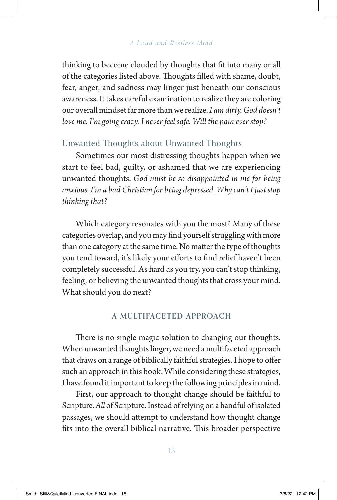thinking to become clouded by thoughts that fit into many or all of the categories listed above. Thoughts filled with shame, doubt, fear, anger, and sadness may linger just beneath our conscious awareness. It takes careful examination to realize they are coloring our overall mindset far more than we realize. *I am dirty. God doesn't love me. I'm going crazy. I never feel safe. Will the pain ever stop?*

# Unwanted Thoughts about Unwanted Thoughts

Sometimes our most distressing thoughts happen when we start to feel bad, guilty, or ashamed that we are experiencing unwanted thoughts. *God must be so disappointed in me for being anxious. I'm a bad Christian for being depressed. Why can't I just stop thinking that?*

Which category resonates with you the most? Many of these categories overlap, and you may find yourself struggling with more than one category at the same time. No matter the type of thoughts you tend toward, it's likely your efforts to find relief haven't been completely successful. As hard as you try, you can't stop thinking, feeling, or believing the unwanted thoughts that cross your mind. What should you do next?

#### **A MULTIFACETED APPROACH**

There is no single magic solution to changing our thoughts. When unwanted thoughts linger, we need a multifaceted approach that draws on a range of biblically faithful strategies. I hope to offer such an approach in this book. While considering these strategies, I have found it important to keep the following principles in mind.

First, our approach to thought change should be faithful to Scripture. *All* of Scripture. Instead of relying on a handful of isolated passages, we should attempt to understand how thought change fits into the overall biblical narrative. This broader perspective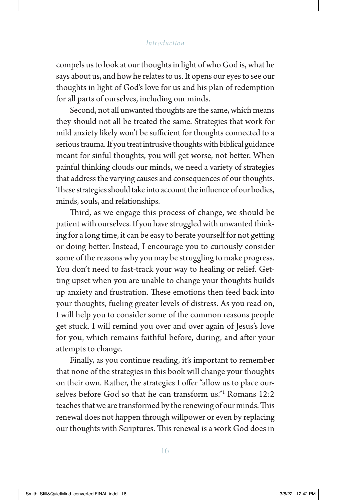compels us to look at our thoughts in light of who God is, what he says about us, and how he relates to us. It opens our eyes to see our thoughts in light of God's love for us and his plan of redemption for all parts of ourselves, including our minds.

Second, not all unwanted thoughts are the same, which means they should not all be treated the same. Strategies that work for mild anxiety likely won't be sufficient for thoughts connected to a serious trauma. If you treat intrusive thoughts with biblical guidance meant for sinful thoughts, you will get worse, not better. When painful thinking clouds our minds, we need a variety of strategies that address the varying causes and consequences of our thoughts. These strategies should take into account the influence of our bodies, minds, souls, and relationships.

Third, as we engage this process of change, we should be patient with ourselves. If you have struggled with unwanted thinking for a long time, it can be easy to berate yourself for not getting or doing better. Instead, I encourage you to curiously consider some of the reasons why you may be struggling to make progress. You don't need to fast-track your way to healing or relief. Getting upset when you are unable to change your thoughts builds up anxiety and frustration. These emotions then feed back into your thoughts, fueling greater levels of distress. As you read on, I will help you to consider some of the common reasons people get stuck. I will remind you over and over again of Jesus's love for you, which remains faithful before, during, and after your attempts to change.

Finally, as you continue reading, it's important to remember that none of the strategies in this book will change your thoughts on their own. Rather, the strategies I offer "allow us to place ourselves before God so that he can transform us."1 Romans 12:2 teaches that we are transformed by the renewing of our minds. This renewal does not happen through willpower or even by replacing our thoughts with Scriptures. This renewal is a work God does in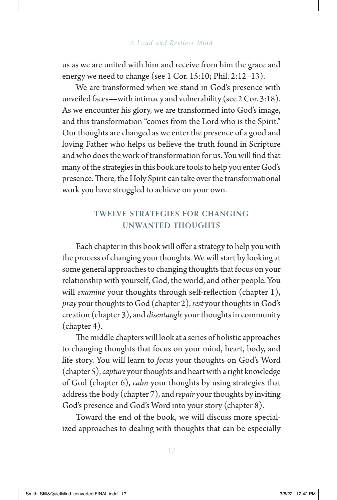us as we are united with him and receive from him the grace and energy we need to change (see 1 Cor. 15:10; Phil. 2:12–13).

We are transformed when we stand in God's presence with unveiled faces—with intimacy and vulnerability (see 2 Cor. 3:18). As we encounter his glory, we are transformed into God's image, and this transformation "comes from the Lord who is the Spirit." Our thoughts are changed as we enter the presence of a good and loving Father who helps us believe the truth found in Scripture and who does the work of transformation for us. You will find that many of the strategies in this book are tools to help you enter God's presence. There, the Holy Spirit can take over the transformational work you have struggled to achieve on your own.

# **TWELVE STRATEGIES FOR CHANGING UNWANTED THOUGHTS**

Each chapter in this book will offer a strategy to help you with the process of changing your thoughts. We will start by looking at some general approaches to changing thoughts that focus on your relationship with yourself, God, the world, and other people. You will *examine* your thoughts through self-reflection (chapter 1), *pray* your thoughts to God (chapter 2), *rest* your thoughts in God's creation (chapter 3), and *disentangle* your thoughts in community (chapter 4).

The middle chapters will look at a series of holistic approaches to changing thoughts that focus on your mind, heart, body, and life story. You will learn to *focus* your thoughts on God's Word (chapter 5), *capture* your thoughts and heart with a right knowledge of God (chapter 6), *calm* your thoughts by using strategies that address the body (chapter 7), and *repair* your thoughts by inviting God's presence and God's Word into your story (chapter 8).

Toward the end of the book, we will discuss more specialized approaches to dealing with thoughts that can be especially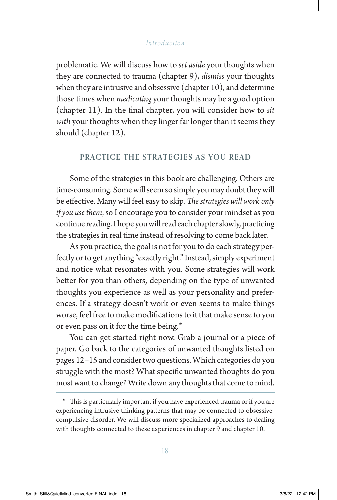problematic. We will discuss how to *set aside* your thoughts when they are connected to trauma (chapter 9), *dismiss* your thoughts when they are intrusive and obsessive (chapter 10), and determine those times when *medicating* your thoughts may be a good option (chapter 11). In the final chapter, you will consider how to *sit with* your thoughts when they linger far longer than it seems they should (chapter 12).

#### **PRACTICE THE STRATEGIES AS YOU READ**

Some of the strategies in this book are challenging. Others are time-consuming. Some will seem so simple you may doubt they will be effective. Many will feel easy to skip. *The strategies will work only if you use them*, so I encourage you to consider your mindset as you continue reading. I hope you will read each chapter slowly, practicing the strategies in real time instead of resolving to come back later.

As you practice, the goal is not for you to do each strategy perfectly or to get anything "exactly right." Instead, simply experiment and notice what resonates with you. Some strategies will work better for you than others, depending on the type of unwanted thoughts you experience as well as your personality and preferences. If a strategy doesn't work or even seems to make things worse, feel free to make modifications to it that make sense to you or even pass on it for the time being.\*

You can get started right now. Grab a journal or a piece of paper. Go back to the categories of unwanted thoughts listed on pages 12–15 and consider two questions. Which categories do you struggle with the most? What specific unwanted thoughts do you most want to change? Write down any thoughts that come to mind.

<sup>\*</sup> This is particularly important if you have experienced trauma or if you are experiencing intrusive thinking patterns that may be connected to obsessivecompulsive disorder. We will discuss more specialized approaches to dealing with thoughts connected to these experiences in chapter 9 and chapter 10.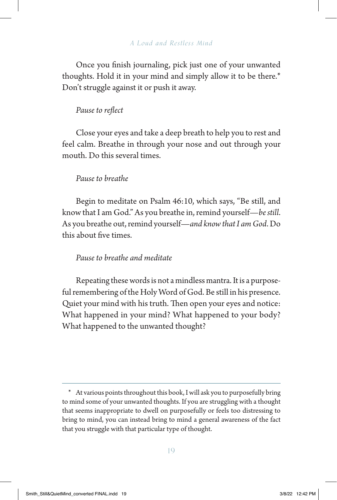Once you finish journaling, pick just one of your unwanted thoughts. Hold it in your mind and simply allow it to be there.\* Don't struggle against it or push it away.

#### *Pause to reflect*

Close your eyes and take a deep breath to help you to rest and feel calm. Breathe in through your nose and out through your mouth. Do this several times.

#### *Pause to breathe*

Begin to meditate on Psalm 46:10, which says, "Be still, and know that I am God." As you breathe in, remind yourself—*be still*. As you breathe out, remind yourself—*and know that I am God*. Do this about five times.

#### *Pause to breathe and meditate*

Repeating these words is not a mindless mantra. It is a purposeful remembering of the Holy Word of God. Be still in his presence. Quiet your mind with his truth. Then open your eyes and notice: What happened in your mind? What happened to your body? What happened to the unwanted thought?

<sup>\*</sup> At various points throughout this book, I will ask you to purposefully bring to mind some of your unwanted thoughts. If you are struggling with a thought that seems inappropriate to dwell on purposefully or feels too distressing to bring to mind, you can instead bring to mind a general awareness of the fact that you struggle with that particular type of thought.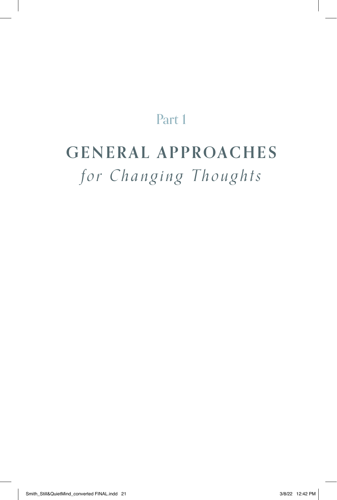# Part 1

# **GENERAL APPROACHES** *for Changing Thoughts*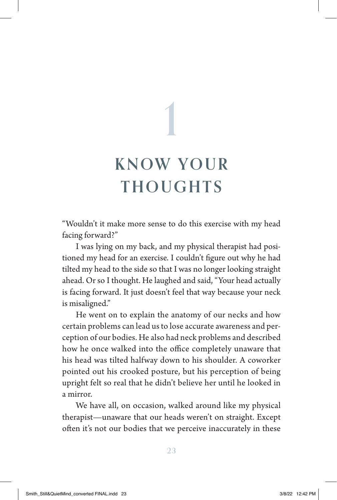# **KNOW YOUR THOUGHTS** 1

"Wouldn't it make more sense to do this exercise with my head facing forward?"

I was lying on my back, and my physical therapist had positioned my head for an exercise. I couldn't figure out why he had tilted my head to the side so that I was no longer looking straight ahead. Or so I thought. He laughed and said, "Your head actually is facing forward. It just doesn't feel that way because your neck is misaligned."

He went on to explain the anatomy of our necks and how certain problems can lead us to lose accurate awareness and perception of our bodies. He also had neck problems and described how he once walked into the office completely unaware that his head was tilted halfway down to his shoulder. A coworker pointed out his crooked posture, but his perception of being upright felt so real that he didn't believe her until he looked in a mirror.

We have all, on occasion, walked around like my physical therapist—unaware that our heads weren't on straight. Except often it's not our bodies that we perceive inaccurately in these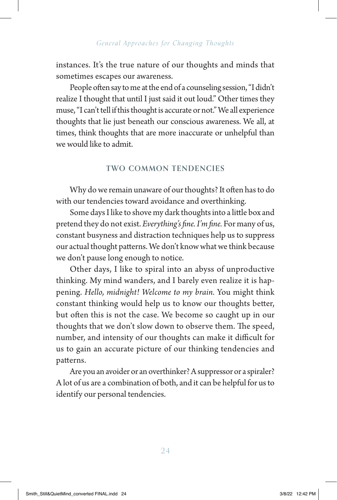instances. It's the true nature of our thoughts and minds that sometimes escapes our awareness.

People often say to me at the end of a counseling session, "I didn't realize I thought that until I just said it out loud." Other times they muse, "I can't tell if this thought is accurate or not." We all experience thoughts that lie just beneath our conscious awareness. We all, at times, think thoughts that are more inaccurate or unhelpful than we would like to admit.

# **TWO COMMON TENDENCIES**

Why do we remain unaware of our thoughts? It often has to do with our tendencies toward avoidance and overthinking.

Some days I like to shove my dark thoughts into a little box and pretend they do not exist. *Everything's fine. I'm fine.* For many of us, constant busyness and distraction techniques help us to suppress our actual thought patterns. We don't know what we think because we don't pause long enough to notice.

Other days, I like to spiral into an abyss of unproductive thinking. My mind wanders, and I barely even realize it is happening. *Hello, midnight! Welcome to my brain.* You might think constant thinking would help us to know our thoughts better, but often this is not the case. We become so caught up in our thoughts that we don't slow down to observe them. The speed, number, and intensity of our thoughts can make it difficult for us to gain an accurate picture of our thinking tendencies and patterns.

Are you an avoider or an overthinker? A suppressor or a spiraler? A lot of us are a combination of both, and it can be helpful for us to identify our personal tendencies.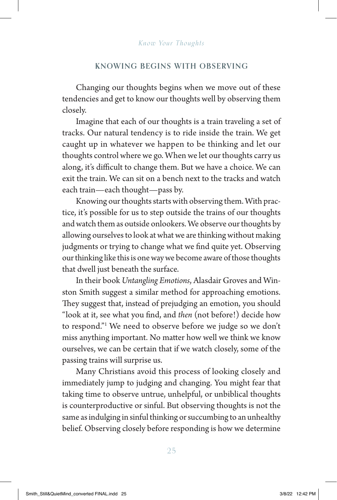#### **KNOWING BEGINS WITH OBSERVING**

Changing our thoughts begins when we move out of these tendencies and get to know our thoughts well by observing them closely.

Imagine that each of our thoughts is a train traveling a set of tracks. Our natural tendency is to ride inside the train. We get caught up in whatever we happen to be thinking and let our thoughts control where we go. When we let our thoughts carry us along, it's difficult to change them. But we have a choice. We can exit the train. We can sit on a bench next to the tracks and watch each train—each thought—pass by.

Knowing our thoughts starts with observing them. With practice, it's possible for us to step outside the trains of our thoughts and watch them as outside onlookers. We observe our thoughts by allowing ourselves to look at what we are thinking without making judgments or trying to change what we find quite yet. Observing our thinking like this is one way we become aware of those thoughts that dwell just beneath the surface.

In their book *Untangling Emotions*, Alasdair Groves and Winston Smith suggest a similar method for approaching emotions. They suggest that, instead of prejudging an emotion, you should "look at it, see what you find, and *then* (not before!) decide how to respond."1 We need to observe before we judge so we don't miss anything important. No matter how well we think we know ourselves, we can be certain that if we watch closely, some of the passing trains will surprise us.

Many Christians avoid this process of looking closely and immediately jump to judging and changing. You might fear that taking time to observe untrue, unhelpful, or unbiblical thoughts is counterproductive or sinful. But observing thoughts is not the same as indulging in sinful thinking or succumbing to an unhealthy belief. Observing closely before responding is how we determine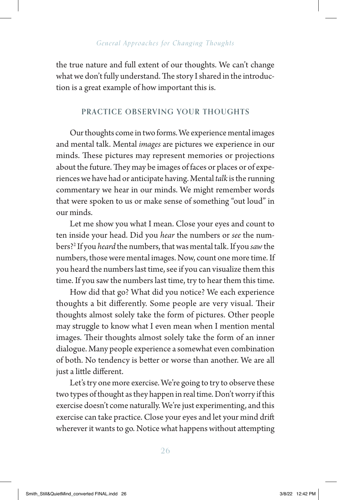the true nature and full extent of our thoughts. We can't change what we don't fully understand. The story I shared in the introduction is a great example of how important this is.

## **PRACTICE OBSERVING YOUR THOUGHTS**

Our thoughts come in two forms. We experience mental images and mental talk. Mental *images* are pictures we experience in our minds. These pictures may represent memories or projections about the future. They may be images of faces or places or of experiences we have had or anticipate having. Mental *talk* is the running commentary we hear in our minds. We might remember words that were spoken to us or make sense of something "out loud" in our minds.

Let me show you what I mean. Close your eyes and count to ten inside your head. Did you *hear* the numbers or *see* the numbers?2 If you *heard* the numbers, that was mental talk. If you *saw* the numbers, those were mental images. Now, count one more time. If you heard the numbers last time, see if you can visualize them this time. If you saw the numbers last time, try to hear them this time.

How did that go? What did you notice? We each experience thoughts a bit differently. Some people are very visual. Their thoughts almost solely take the form of pictures. Other people may struggle to know what I even mean when I mention mental images. Their thoughts almost solely take the form of an inner dialogue. Many people experience a somewhat even combination of both. No tendency is better or worse than another. We are all just a little different.

Let's try one more exercise. We're going to try to observe these two types of thought as they happen in real time. Don't worry if this exercise doesn't come naturally. We're just experimenting, and this exercise can take practice. Close your eyes and let your mind drift wherever it wants to go. Notice what happens without attempting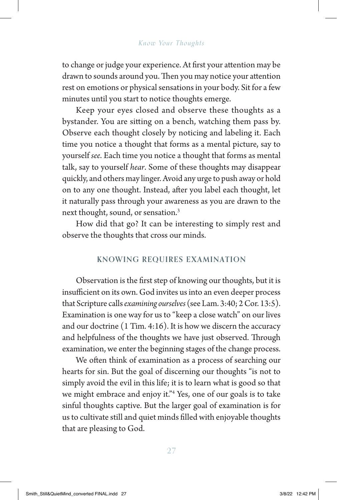to change or judge your experience. At first your attention may be drawn to sounds around you. Then you may notice your attention rest on emotions or physical sensations in your body. Sit for a few minutes until you start to notice thoughts emerge.

Keep your eyes closed and observe these thoughts as a bystander. You are sitting on a bench, watching them pass by. Observe each thought closely by noticing and labeling it. Each time you notice a thought that forms as a mental picture, say to yourself *see*. Each time you notice a thought that forms as mental talk, say to yourself *hear*. Some of these thoughts may disappear quickly, and others may linger. Avoid any urge to push away or hold on to any one thought. Instead, after you label each thought, let it naturally pass through your awareness as you are drawn to the next thought, sound, or sensation.3

How did that go? It can be interesting to simply rest and observe the thoughts that cross our minds.

#### **KNOWING REQUIRES EXAMINATION**

Observation is the first step of knowing our thoughts, but it is insufficient on its own. God invites us into an even deeper process that Scripture calls *examining ourselves* (see Lam. 3:40; 2 Cor. 13:5). Examination is one way for us to "keep a close watch" on our lives and our doctrine (1 Tim. 4:16). It is how we discern the accuracy and helpfulness of the thoughts we have just observed. Through examination, we enter the beginning stages of the change process.

We often think of examination as a process of searching our hearts for sin. But the goal of discerning our thoughts "is not to simply avoid the evil in this life; it is to learn what is good so that we might embrace and enjoy it."4 Yes, one of our goals is to take sinful thoughts captive. But the larger goal of examination is for us to cultivate still and quiet minds filled with enjoyable thoughts that are pleasing to God.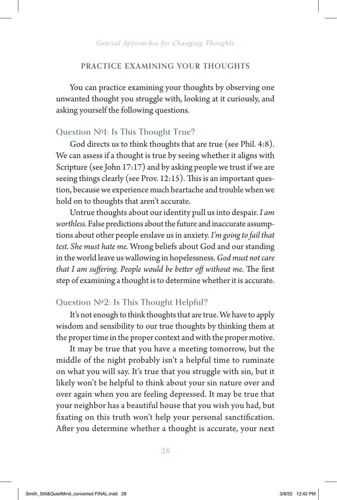#### **PRACTICE EXAMINING YOUR THOUGHTS**

You can practice examining your thoughts by observing one unwanted thought you struggle with, looking at it curiously, and asking yourself the following questions.

#### Question  $N<sub>21</sub>$ : Is This Thought True?

God directs us to think thoughts that are true (see Phil. 4:8). We can assess if a thought is true by seeing whether it aligns with Scripture (see John 17:17) and by asking people we trust if we are seeing things clearly (see Prov. 12:15). This is an important question, because we experience much heartache and trouble when we hold on to thoughts that aren't accurate.

Untrue thoughts about our identity pull us into despair. *I am worthless.* False predictions about the future and inaccurate assumptions about other people enslave us in anxiety. *I'm going to fail that test. She must hate me.* Wrong beliefs about God and our standing in the world leave us wallowing in hopelessness. *God must not care that I am suffering. People would be better off without me.* The first step of examining a thought is to determine whether it is accurate.

#### Question  $N<sub>2</sub>$ : Is This Thought Helpful?

It's not enough to think thoughts that are true. We have to apply wisdom and sensibility to our true thoughts by thinking them at the proper time in the proper context and with the proper motive.

It may be true that you have a meeting tomorrow, but the middle of the night probably isn't a helpful time to ruminate on what you will say. It's true that you struggle with sin, but it likely won't be helpful to think about your sin nature over and over again when you are feeling depressed. It may be true that your neighbor has a beautiful house that you wish you had, but fixating on this truth won't help your personal sanctification. After you determine whether a thought is accurate, your next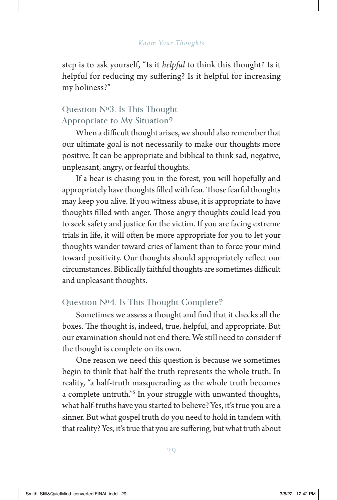step is to ask yourself, "Is it *helpful* to think this thought? Is it helpful for reducing my suffering? Is it helpful for increasing my holiness?"

# Question  $N<sup>0</sup>3$ : Is This Thought Appropriate to My Situation?

When a difficult thought arises, we should also remember that our ultimate goal is not necessarily to make our thoughts more positive. It can be appropriate and biblical to think sad, negative, unpleasant, angry, or fearful thoughts.

If a bear is chasing you in the forest, you will hopefully and appropriately have thoughts filled with fear. Those fearful thoughts may keep you alive. If you witness abuse, it is appropriate to have thoughts filled with anger. Those angry thoughts could lead you to seek safety and justice for the victim. If you are facing extreme trials in life, it will often be more appropriate for you to let your thoughts wander toward cries of lament than to force your mind toward positivity. Our thoughts should appropriately reflect our circumstances. Biblically faithful thoughts are sometimes difficult and unpleasant thoughts.

# Question  $\mathbb{N}^{\mathfrak{a}}$ : Is This Thought Complete?

Sometimes we assess a thought and find that it checks all the boxes. The thought is, indeed, true, helpful, and appropriate. But our examination should not end there. We still need to consider if the thought is complete on its own.

One reason we need this question is because we sometimes begin to think that half the truth represents the whole truth. In reality, "a half-truth masquerading as the whole truth becomes a complete untruth."5 In your struggle with unwanted thoughts, what half-truths have you started to believe? Yes, it's true you are a sinner. But what gospel truth do you need to hold in tandem with that reality? Yes, it's true that you are suffering, but what truth about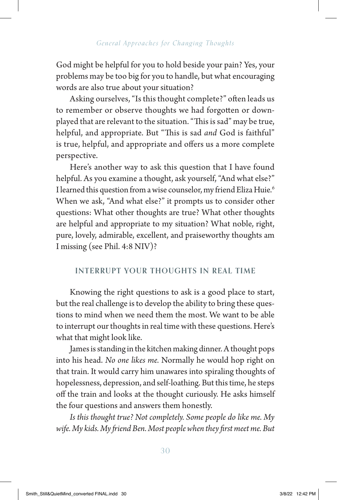God might be helpful for you to hold beside your pain? Yes, your problems may be too big for you to handle, but what encouraging words are also true about your situation?

Asking ourselves, "Is this thought complete?" often leads us to remember or observe thoughts we had forgotten or downplayed that are relevant to the situation. "This is sad" may be true, helpful, and appropriate. But "This is sad *and* God is faithful" is true, helpful, and appropriate and offers us a more complete perspective.

Here's another way to ask this question that I have found helpful. As you examine a thought, ask yourself, "And what else?" I learned this question from a wise counselor, my friend Eliza Huie.<sup>6</sup> When we ask, "And what else?" it prompts us to consider other questions: What other thoughts are true? What other thoughts are helpful and appropriate to my situation? What noble, right, pure, lovely, admirable, excellent, and praiseworthy thoughts am I missing (see Phil. 4:8 NIV)?

### **INTERRUPT YOUR THOUGHTS IN REAL TIME**

Knowing the right questions to ask is a good place to start, but the real challenge is to develop the ability to bring these questions to mind when we need them the most. We want to be able to interrupt our thoughts in real time with these questions. Here's what that might look like.

James is standing in the kitchen making dinner. A thought pops into his head. *No one likes me.* Normally he would hop right on that train. It would carry him unawares into spiraling thoughts of hopelessness, depression, and self-loathing. But this time, he steps off the train and looks at the thought curiously. He asks himself the four questions and answers them honestly.

*Is this thought true? Not completely. Some people do like me. My wife. My kids. My friend Ben. Most people when they first meet me. But*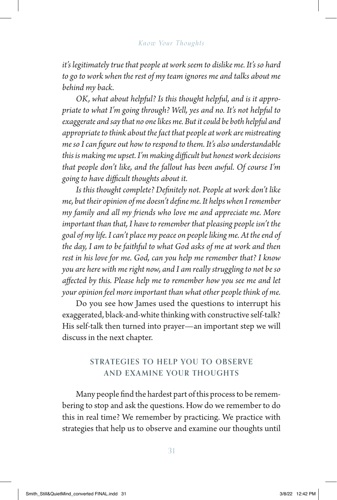*it's legitimately true that people at work seem to dislike me. It's so hard to go to work when the rest of my team ignores me and talks about me behind my back.* 

*OK, what about helpful? Is this thought helpful, and is it appropriate to what I'm going through? Well, yes and no. It's not helpful to exaggerate and say that no one likes me. But it could be both helpful and appropriate to think about the fact that people at work are mistreating me so I can figure out how to respond to them. It's also understandable this is making me upset. I'm making difficult but honest work decisions that people don't like, and the fallout has been awful. Of course I'm going to have difficult thoughts about it.*

*Is this thought complete? Definitely not. People at work don't like me, but their opinion of me doesn't define me. It helps when I remember my family and all my friends who love me and appreciate me. More important than that, I have to remember that pleasing people isn't the goal of my life. I can't place my peace on people liking me. At the end of the day, I am to be faithful to what God asks of me at work and then rest in his love for me. God, can you help me remember that? I know you are here with me right now, and I am really struggling to not be so affected by this. Please help me to remember how you see me and let your opinion feel more important than what other people think of me.* 

Do you see how James used the questions to interrupt his exaggerated, black-and-white thinking with constructive self-talk? His self-talk then turned into prayer—an important step we will discuss in the next chapter.

### **STRATEGIES TO HELP YOU TO OBSERVE AND EXAMINE YOUR THOUGHTS**

Many people find the hardest part of this process to be remembering to stop and ask the questions. How do we remember to do this in real time? We remember by practicing. We practice with strategies that help us to observe and examine our thoughts until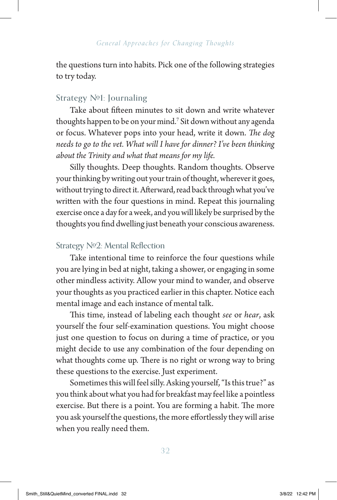the questions turn into habits. Pick one of the following strategies to try today.

# Strategy  $N<sub>91</sub>$ : Journaling

Take about fifteen minutes to sit down and write whatever thoughts happen to be on your mind.7 Sit down without any agenda or focus. Whatever pops into your head, write it down. *The dog needs to go to the vet. What will I have for dinner? I've been thinking about the Trinity and what that means for my life.*

Silly thoughts. Deep thoughts. Random thoughts. Observe your thinking by writing out your train of thought, wherever it goes, without trying to direct it. Afterward, read back through what you've written with the four questions in mind. Repeat this journaling exercise once a day for a week, and you will likely be surprised by the thoughts you find dwelling just beneath your conscious awareness.

# Strategy Nº2: Mental Reflection

Take intentional time to reinforce the four questions while you are lying in bed at night, taking a shower, or engaging in some other mindless activity. Allow your mind to wander, and observe your thoughts as you practiced earlier in this chapter. Notice each mental image and each instance of mental talk.

This time, instead of labeling each thought *see* or *hear*, ask yourself the four self-examination questions. You might choose just one question to focus on during a time of practice, or you might decide to use any combination of the four depending on what thoughts come up. There is no right or wrong way to bring these questions to the exercise. Just experiment.

Sometimes this will feel silly. Asking yourself, "Is this true?" as you think about what you had for breakfast may feel like a pointless exercise. But there is a point. You are forming a habit. The more you ask yourself the questions, the more effortlessly they will arise when you really need them.